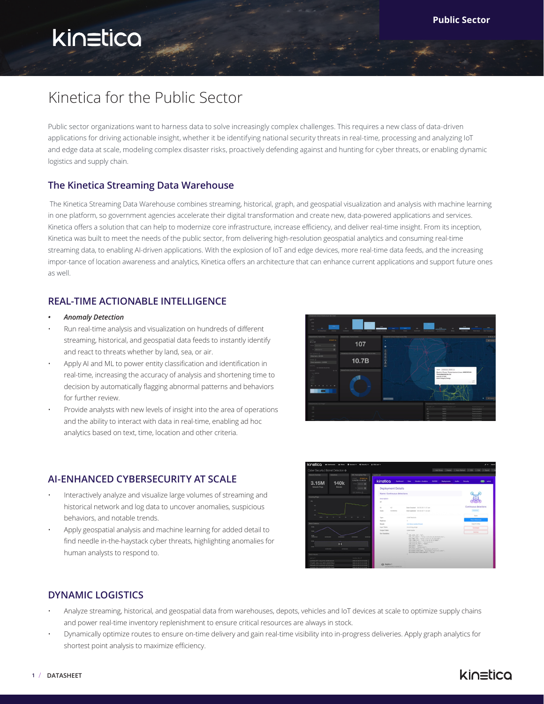# kinstica

# Kinetica for the Public Sector

Public sector organizations want to harness data to solve increasingly complex challenges. This requires a new class of data-driven applications for driving actionable insight, whether it be identifying national security threats in real-time, processing and analyzing IoT and edge data at scale, modeling complex disaster risks, proactively defending against and hunting for cyber threats, or enabling dynamic logistics and supply chain.

#### **The Kinetica Streaming Data Warehouse**

The Kinetica Streaming Data Warehouse combines streaming, historical, graph, and geospatial visualization and analysis with machine learning in one platform, so government agencies accelerate their digital transformation and create new, data-powered applications and services. Kinetica offers a solution that can help to modernize core infrastructure, increase efficiency, and deliver real-time insight. From its inception, Kinetica was built to meet the needs of the public sector, from delivering high-resolution geospatial analytics and consuming real-time streaming data, to enabling AI-driven applications. With the explosion of IoT and edge devices, more real-time data feeds, and the increasing impor-tance of location awareness and analytics, Kinetica offers an architecture that can enhance current applications and support future ones as well.

### **REAL-TIME ACTIONABLE INTELLIGENCE**

- *• Anomaly Detection*
- Run real-time analysis and visualization on hundreds of different streaming, historical, and geospatial data feeds to instantly identify and react to threats whether by land, sea, or air.
- Apply AI and ML to power entity classification and identification in real-time, increasing the accuracy of analysis and shortening time to decision by automatically flagging abnormal patterns and behaviors for further review.
- Provide analysts with new levels of insight into the area of operations and the ability to interact with data in real-time, enabling ad hoc analytics based on text, time, location and other criteria.

## **AI-ENHANCED CYBERSECURITY AT SCALE**

- Interactively analyze and visualize large volumes of streaming and historical network and log data to uncover anomalies, suspicious behaviors, and notable trends.
- Apply geospatial analysis and machine learning for added detail to find needle in-the-haystack cyber threats, highlighting anomalies for human analysts to respond to.



#### **DYNAMIC LOGISTICS**

- Analyze streaming, historical, and geospatial data from warehouses, depots, vehicles and IoT devices at scale to optimize supply chains and power real-time inventory replenishment to ensure critical resources are always in stock.
- Dynamically optimize routes to ensure on-time delivery and gain real-time visibility into in-progress deliveries. Apply graph analytics for shortest point analysis to maximize efficiency.